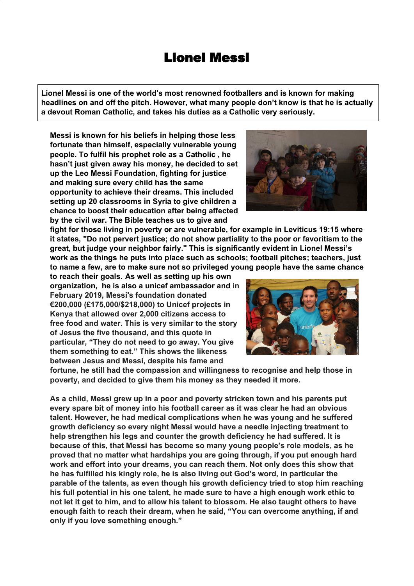## Lionel Messi

**Lionel Messi is one of the world's most renowned footballers and is known for making headlines on and off the pitch. However, what many people don't know is that he is actually a devout Roman Catholic, and takes his duties as a Catholic very seriously.**

**Messi is known for his beliefs in helping those less fortunate than himself, especially vulnerable young people. To fulfil his prophet role as a Catholic , he hasn't just given away his money, he decided to set up the Leo Messi Foundation, fighting for justice and making sure every child has the same opportunity to achieve their dreams. This included setting up 20 classrooms in Syria to give children a chance to boost their education after being affected by the civil war. The Bible teaches us to give and**

**fight for those living in poverty or are vulnerable, for example in Leviticus 19:15 where it states, "Do not pervert justice; do not show partiality to the poor or favoritism to the great, but judge your neighbor fairly." This is significantly evident in Lionel Messi's work as the things he puts into place such as schools; football pitches; teachers, just to name a few, are to make sure not so privileged young people have the same chance**

**to reach their goals. As well as setting up his own organization, he is also a unicef ambassador and in February 2019, Messi's foundation donated €200,000 (£175,000/\$218,000) to Unicef projects in Kenya that allowed over 2,000 citizens access to free food and water. This is very similar to the story of Jesus the five thousand, and this quote in particular, "They do not need to go away. You give them something to eat." This shows the likeness between Jesus and Messi, despite his fame and**

**fortune, he still had the compassion and willingness to recognise and help those in poverty, and decided to give them his money as they needed it more.**

**As a child, Messi grew up in a poor and poverty stricken town and his parents put every spare bit of money into his football career as it was clear he had an obvious talent. However, he had medical complications when he was young and he suffered growth deficiency so every night Messi would have a needle injecting treatment to help strengthen his legs and counter the growth deficiency he had suffered. It is because of this, that Messi has become so many young people's role models, as he proved that no matter what hardships you are going through, if you put enough hard work and effort into your dreams, you can reach them. Not only does this show that he has fulfilled his kingly role, he is also living out God's word, in particular the parable of the talents, as even though his growth deficiency tried to stop him reaching his full potential in his one talent, he made sure to have a high enough work ethic to not let it get to him, and to allow his talent to blossom. He also taught others to have enough faith to reach their dream, when he said, "You can overcome anything, if and only if you love something enough."**